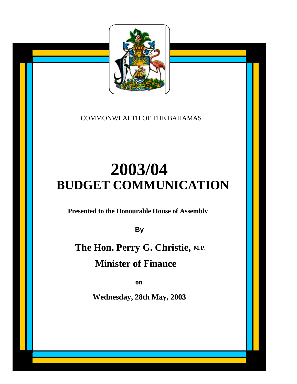

# COMMONWEALTH OF THE BAHAMAS

# **2003/04 BUDGET COMMUNICATION**

**Presented to the Honourable House of Assembly**

**By**

**The Hon. Perry G. Christie, M.P.**

**Minister of Finance**

**on**

**Wednesday, 28th May, 2003**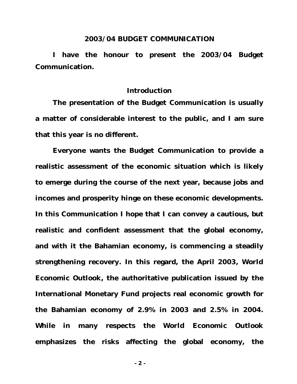#### **2003/04 BUDGET COMMUNICATION**

**I have the honour to present the 2003/04 Budget Communication.**

#### *Introduction*

**The presentation of the Budget Communication is usually a matter of considerable interest to the public, and I am sure that this year is no different.**

**Everyone wants the Budget Communication to provide a realistic assessment of the economic situation which is likely to emerge during the course of the next year, because jobs and incomes and prosperity hinge on these economic developments. In this Communication I hope that I can convey a cautious, but realistic and confident assessment that the global economy, and with it the Bahamian economy, is commencing a steadily strengthening recovery. In this regard, the April 2003,** *World Economic Outlook***, the authoritative publication issued by the International Monetary Fund projects real economic growth for the Bahamian economy of 2.9% in 2003 and 2.5% in 2004. While in many respects the** *World Economic Outlook* **emphasizes the risks affecting the global economy, the**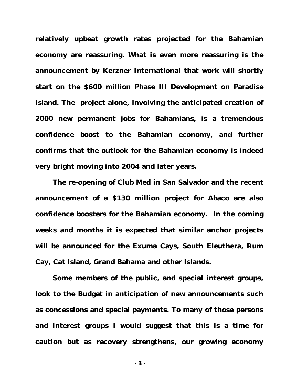**relatively upbeat growth rates projected for the Bahamian economy are reassuring. What is even more reassuring is the announcement by Kerzner International that work will shortly start on the \$600 million Phase III Development on Paradise Island. The project alone, involving the anticipated creation of 2000 new permanent jobs for Bahamians, is a tremendous confidence boost to the Bahamian economy, and further confirms that the outlook for the Bahamian economy is indeed very bright moving into 2004 and later years.**

**The re-opening of Club Med in San Salvador and the recent announcement of a \$130 million project for Abaco are also confidence boosters for the Bahamian economy. In the coming weeks and months it is expected that similar anchor projects will be announced for the Exuma Cays, South Eleuthera, Rum Cay, Cat Island, Grand Bahama and other Islands.**

**Some members of the public, and special interest groups, look to the Budget in anticipation of new announcements such as concessions and special payments. To many of those persons and interest groups I would suggest that this is a time for caution but as recovery strengthens, our growing economy**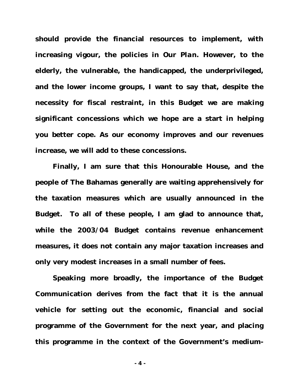**should provide the financial resources to implement, with increasing vigour, the policies in** *Our Plan.* **However, to the elderly, the vulnerable, the handicapped, the underprivileged, and the lower income groups, I want to say that, despite the necessity for fiscal restraint, in this Budget we are making significant concessions which we hope are a start in helping you better cope. As our economy improves and our revenues increase, we will add to these concessions.**

**Finally, I am sure that this Honourable House, and the people of The Bahamas generally are waiting apprehensively for the taxation measures which are usually announced in the Budget. To all of these people, I am glad to announce that, while the 2003/04 Budget contains revenue enhancement measures, it does not contain any major taxation increases and only very modest increases in a small number of fees.** 

**Speaking more broadly, the importance of the Budget Communication derives from the fact that it is the annual vehicle for setting out the economic, financial and social programme of the Government for the next year, and placing this programme in the context of the Government's medium-**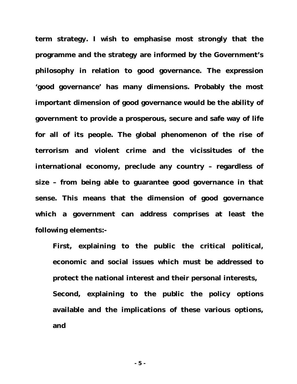**term strategy. I wish to emphasise most strongly that the programme and the strategy are informed by the Government's philosophy in relation to good governance. The expression 'good governance' has many dimensions. Probably the most important dimension of good governance would be the ability of government to provide a prosperous, secure and safe way of life for all of its people. The global phenomenon of the rise of terrorism and violent crime and the vicissitudes of the international economy, preclude any country – regardless of size – from being able to guarantee good governance in that sense. This means that the dimension of good governance which a government can address comprises at least the following elements:-**

**First, explaining to the public the critical political, economic and social issues which must be addressed to protect the national interest and their personal interests, Second, explaining to the public the policy options available and the implications of these various options, and**

**- 5 -**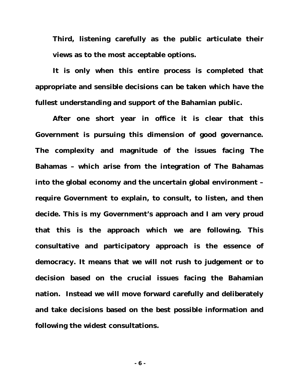**Third, listening carefully as the public articulate their views as to the most acceptable options.**

**It is only when this entire process is completed that appropriate and sensible decisions can be taken which have the fullest understanding and support of the Bahamian public.**

**After one short year in office it is clear that this Government is pursuing this dimension of good governance. The complexity and magnitude of the issues facing The Bahamas – which arise from the integration of The Bahamas into the global economy and the uncertain global environment – require Government to explain, to consult, to listen, and then decide. This is my Government's approach and I am very proud that this is the approach which we are following. This consultative and participatory approach is the essence of democracy. It means that we will not rush to judgement or to decision based on the crucial issues facing the Bahamian nation. Instead we will move forward carefully and deliberately and take decisions based on the best possible information and following the widest consultations.**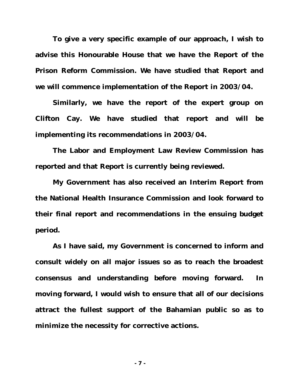**To give a very specific example of our approach, I wish to advise this Honourable House that we have the Report of the Prison Reform Commission. We have studied that Report and we will commence implementation of the Report in 2003/04.**

**Similarly, we have the report of the expert group on Clifton Cay. We have studied that report and will be implementing its recommendations in 2003/04.**

**The Labor and Employment Law Review Commission has reported and that Report is currently being reviewed.**

**My Government has also received an Interim Report from the National Health Insurance Commission and look forward to their final report and recommendations in the ensuing budget period.**

**As I have said, my Government is concerned to inform and consult widely on all major issues so as to reach the broadest consensus and understanding before moving forward. In moving forward, I would wish to ensure that all of our decisions attract the fullest support of the Bahamian public so as to minimize the necessity for corrective actions.**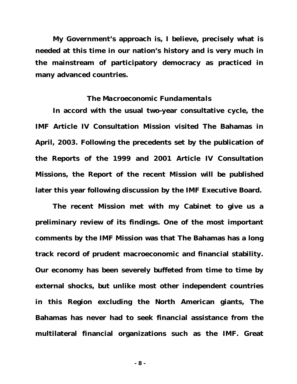**My Government's approach is, I believe, precisely what is needed at this time in our nation's history and is very much in the mainstream of participatory democracy as practiced in many advanced countries.**

#### *The Macroeconomic Fundamentals*

**In accord with the usual two-year consultative cycle, the IMF Article IV Consultation Mission visited The Bahamas in April, 2003. Following the precedents set by the publication of the Reports of the 1999 and 2001 Article IV Consultation Missions, the Report of the recent Mission will be published later this year following discussion by the IMF Executive Board.**

**The recent Mission met with my Cabinet to give us a preliminary review of its findings. One of the most important comments by the IMF Mission was that The Bahamas has a long track record of prudent macroeconomic and financial stability. Our economy has been severely buffeted from time to time by external shocks, but unlike most other independent countries in this Region excluding the North American giants, The Bahamas has never had to seek financial assistance from the multilateral financial organizations such as the IMF. Great**

**- 8 -**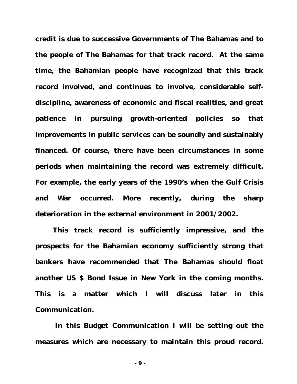**credit is due to successive Governments of The Bahamas and to the people of The Bahamas for that track record. At the same time, the Bahamian people have recognized that this track record involved, and continues to involve, considerable selfdiscipline, awareness of economic and fiscal realities, and great patience in pursuing growth-oriented policies so that improvements in public services can be soundly and sustainably financed. Of course, there have been circumstances in some periods when maintaining the record was extremely difficult. For example, the early years of the 1990's when the Gulf Crisis and War occurred. More recently, during the sharp deterioration in the external environment in 2001/2002.**

**This track record is sufficiently impressive, and the prospects for the Bahamian economy sufficiently strong that bankers have recommended that The Bahamas should float another US \$ Bond Issue in New York in the coming months. This is a matter which I will discuss later in this Communication.**

 **In this Budget Communication I will be setting out the measures which are necessary to maintain this proud record.**

**- 9 -**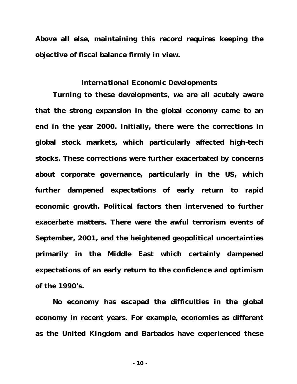**Above all else, maintaining this record requires keeping the objective of fiscal balance firmly in view.**

#### *International Economic Developments*

**Turning to these developments, we are all acutely aware that the strong expansion in the global economy came to an end in the year 2000. Initially, there were the corrections in global stock markets, which particularly affected high-tech stocks. These corrections were further exacerbated by concerns about corporate governance, particularly in the US, which further dampened expectations of early return to rapid economic growth. Political factors then intervened to further exacerbate matters. There were the awful terrorism events of September, 2001, and the heightened geopolitical uncertainties primarily in the Middle East which certainly dampened expectations of an early return to the confidence and optimism of the 1990's.**

**No economy has escaped the difficulties in the global economy in recent years. For example, economies as different as the United Kingdom and Barbados have experienced these**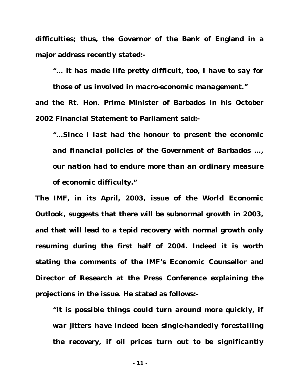**difficulties; thus, the Governor of the Bank of England in a major address recently stated:-**

*"… It has made life pretty difficult, too, I have to say for those of us involved in macro-economic management."* **and the Rt. Hon. Prime Minister of Barbados in his October**

**2002 Financial Statement to Parliament said:-**

*"…Since I last had the honour to present the economic and financial policies of the Government of Barbados …, our nation had to endure more than an ordinary measure of economic difficulty."*

**The IMF***,* **in its April, 2003, issue of the** *World Economic Outlook***, suggests that there will be subnormal growth in 2003, and that will lead to a tepid recovery with normal growth only resuming during the first half of 2004. Indeed it is worth stating the comments of the IMF's Economic Counsellor and Director of Research at the Press Conference explaining the projections in the issue. He stated as follows:-**

*"It is possible things could turn around more quickly, if war jitters have indeed been single-handedly forestalling the recovery, if oil prices turn out to be significantly*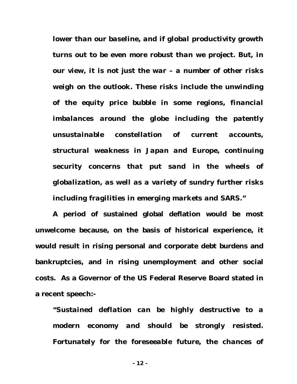*lower than our baseline, and if global productivity growth turns out to be even more robust than we project. But, in our view, it is not just the war – a number of other risks weigh on the outlook. These risks include the unwinding of the equity price bubble in some regions, financial imbalances around the globe including the patently unsustainable constellation of current accounts, structural weakness in Japan and Europe, continuing security concerns that put sand in the wheels of globalization, as well as a variety of sundry further risks including fragilities in emerging markets and SARS."*

**A period of sustained global deflation would be most unwelcome because, on the basis of historical experience, it would result in rising personal and corporate debt burdens and bankruptcies, and in rising unemployment and other social costs. As a Governor of the US Federal Reserve Board stated in a recent speech:-**

**"***Sustained deflation can be highly destructive to a modern economy and should be strongly resisted. Fortunately for the foreseeable future, the chances of*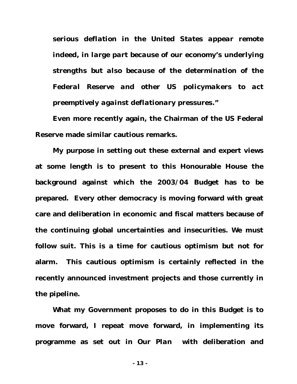*serious deflation in the United States appear remote indeed, in large part because of our economy's underlying strengths but also because of the determination of the Federal Reserve and other US policymakers to act preemptively against deflationary pressures."*

**Even more recently again, the Chairman of the US Federal Reserve made similar cautious remarks.**

**My purpose in setting out these external and expert views at some length is to present to this Honourable House the background against which the 2003/04 Budget has to be prepared. Every other democracy is moving forward with great care and deliberation in economic and fiscal matters because of the continuing global uncertainties and insecurities. We must follow suit. This is a time for cautious optimism but not for alarm. This cautious optimism is certainly reflected in the recently announced investment projects and those currently in the pipeline.**

**What my Government proposes to do in this Budget is to move forward, I repeat move forward, in implementing its programme as set out in** *Our Plan* **with deliberation and**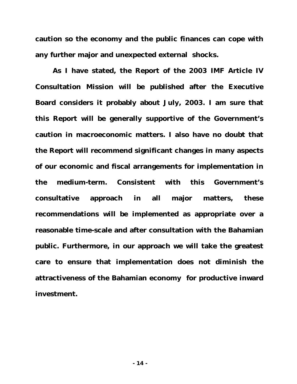**caution so the economy and the public finances can cope with any further major and unexpected external shocks.**

**As I have stated, the Report of the 2003 IMF Article IV Consultation Mission will be published after the Executive Board considers it probably about July, 2003. I am sure that this Report will be generally supportive of the Government's caution in macroeconomic matters. I also have no doubt that the Report will recommend significant changes in many aspects of our economic and fiscal arrangements for implementation in the medium-term. Consistent with this Government's consultative approach in all major matters, these recommendations will be implemented as appropriate over a reasonable time-scale and after consultation with the Bahamian public. Furthermore, in our approach we will take the greatest care to ensure that implementation does not diminish the attractiveness of the Bahamian economy for productive inward investment.**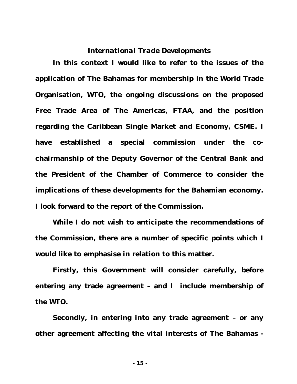#### *International Trade Developments*

**In this context I would like to refer to the issues of the application of The Bahamas for membership in the World Trade Organisation, WTO, the ongoing discussions on the proposed Free Trade Area of The Americas, FTAA, and the position regarding the Caribbean Single Market and Economy, CSME. I have established a special commission under the cochairmanship of the Deputy Governor of the Central Bank and the President of the Chamber of Commerce to consider the implications of these developments for the Bahamian economy. I look forward to the report of the Commission.**

**While I do not wish to anticipate the recommendations of the Commission, there are a number of specific points which I would like to emphasise in relation to this matter.**

**Firstly, this Government will consider carefully, before entering any trade agreement – and I include membership of the WTO.**

**Secondly, in entering into any trade agreement – or any other agreement affecting the vital interests of The Bahamas -**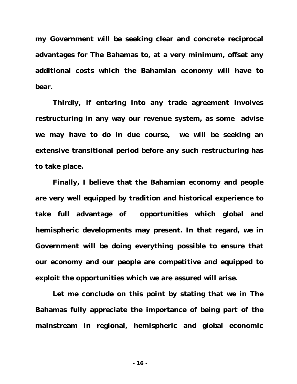**my Government will be seeking clear and concrete reciprocal advantages for The Bahamas to, at a very minimum, offset any additional costs which the Bahamian economy will have to bear.**

**Thirdly, if entering into any trade agreement involves restructuring in any way our revenue system, as some advise we may have to do in due course, we will be seeking an extensive transitional period before any such restructuring has to take place.**

**Finally, I believe that the Bahamian economy and people are very well equipped by tradition and historical experience to take full advantage of opportunities which global and hemispheric developments may present. In that regard, we in Government will be doing everything possible to ensure that our economy and our people are competitive and equipped to exploit the opportunities which we are assured will arise.**

**Let me conclude on this point by stating that we in The Bahamas fully appreciate the importance of being part of the mainstream in regional, hemispheric and global economic**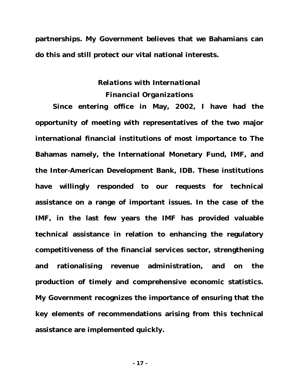**partnerships. My Government believes that we Bahamians can do this and still protect our vital national interests.**

# *Relations with International Financial Organizations*

**Since entering office in May, 2002, I have had the opportunity of meeting with representatives of the two major international financial institutions of most importance to The Bahamas namely, the International Monetary Fund, IMF, and the Inter-American Development Bank, IDB. These institutions have willingly responded to our requests for technical assistance on a range of important issues. In the case of the IMF, in the last few years the IMF has provided valuable technical assistance in relation to enhancing the regulatory competitiveness of the financial services sector, strengthening and rationalising revenue administration, and on the production of timely and comprehensive economic statistics. My Government recognizes the importance of ensuring that the key elements of recommendations arising from this technical assistance are implemented quickly.**

**- 17 -**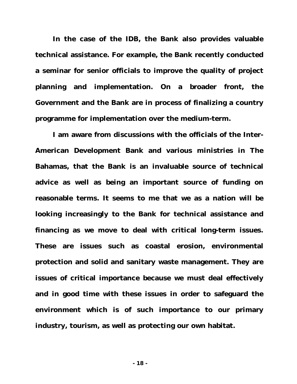**In the case of the IDB, the Bank also provides valuable technical assistance. For example, the Bank recently conducted a seminar for senior officials to improve the quality of project planning and implementation. On a broader front, the Government and the Bank are in process of finalizing a country programme for implementation over the medium-term.**

**I am aware from discussions with the officials of the Inter-American Development Bank and various ministries in The Bahamas, that the Bank is an invaluable source of technical advice as well as being an important source of funding on reasonable terms. It seems to me that we as a nation will be looking increasingly to the Bank for technical assistance and financing as we move to deal with critical long-term issues. These are issues such as coastal erosion, environmental protection and solid and sanitary waste management. They are issues of critical importance because we must deal effectively and in good time with these issues in order to safeguard the environment which is of such importance to our primary industry, tourism, as well as protecting our own habitat.**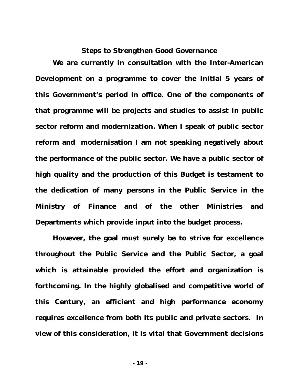#### *Steps to Strengthen Good Governance*

**We are currently in consultation with the Inter-American Development on a programme to cover the initial 5 years of this Government's period in office. One of the components of that programme will be projects and studies to assist in public sector reform and modernization. When I speak of public sector reform and modernisation I am not speaking negatively about the performance of the public sector. We have a public sector of high quality and the production of this Budget is testament to the dedication of many persons in the Public Service in the Ministry of Finance and of the other Ministries and Departments which provide input into the budget process.**

**However, the goal must surely be to strive for excellence throughout the Public Service and the Public Sector, a goal which is attainable provided the effort and organization is forthcoming. In the highly globalised and competitive world of this Century, an efficient and high performance economy requires excellence from both its public and private sectors. In view of this consideration, it is vital that Government decisions**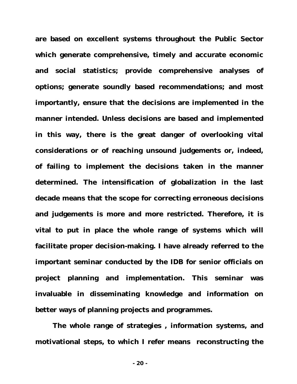**are based on excellent systems throughout the Public Sector which generate comprehensive, timely and accurate economic and social statistics; provide comprehensive analyses of options; generate soundly based recommendations; and most importantly, ensure that the decisions are implemented in the manner intended. Unless decisions are based and implemented in this way, there is the great danger of overlooking vital considerations or of reaching unsound judgements or, indeed, of failing to implement the decisions taken in the manner determined. The intensification of globalization in the last decade means that the scope for correcting erroneous decisions and judgements is more and more restricted. Therefore, it is vital to put in place the whole range of systems which will facilitate proper decision-making. I have already referred to the important seminar conducted by the IDB for senior officials on project planning and implementation. This seminar was invaluable in disseminating knowledge and information on better ways of planning projects and programmes.**

**The whole range of strategies , information systems, and motivational steps, to which I refer means reconstructing the**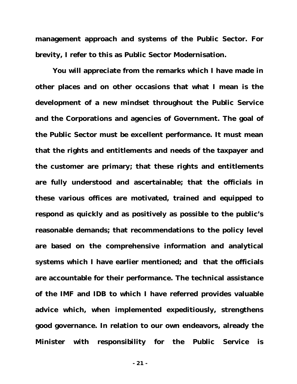**management approach and systems of the Public Sector. For brevity, I refer to this as Public Sector Modernisation.**

**You will appreciate from the remarks which I have made in other places and on other occasions that what I mean is the development of a new mindset throughout the Public Service and the Corporations and agencies of Government. The goal of the Public Sector must be excellent performance. It must mean that the rights and entitlements and needs of the taxpayer and the customer are primary; that these rights and entitlements are fully understood and ascertainable; that the officials in these various offices are motivated, trained and equipped to respond as quickly and as positively as possible to the public's reasonable demands; that recommendations to the policy level are based on the comprehensive information and analytical systems which I have earlier mentioned; and that the officials are accountable for their performance. The technical assistance of the IMF and IDB to which I have referred provides valuable advice which, when implemented expeditiously, strengthens good governance. In relation to our own endeavors, already the Minister with responsibility for the Public Service is**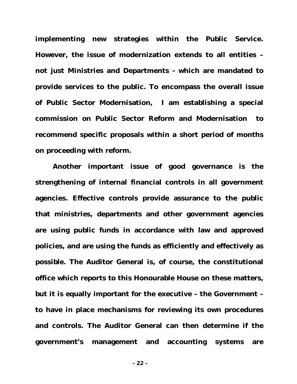**implementing new strategies within the Public Service. However, the issue of modernization extends to all entities – not just Ministries and Departments - which are mandated to provide services to the public. To encompass the overall issue of Public Sector Modernisation, I am establishing a special commission on Public Sector Reform and Modernisation to recommend specific proposals within a short period of months on proceeding with reform.**

**Another important issue of good governance is the strengthening of internal financial controls in all government agencies. Effective controls provide assurance to the public that ministries, departments and other government agencies are using public funds in accordance with law and approved policies, and are using the funds as efficiently and effectively as possible. The Auditor General is, of course, the constitutional office which reports to this Honourable House on these matters, but it is equally important for the executive – the Government – to have in place mechanisms for reviewing its own procedures and controls. The Auditor General can then determine if the government's management and accounting systems are**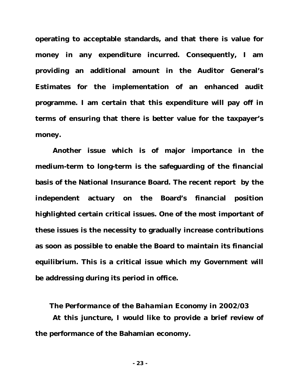**operating to acceptable standards, and that there is value for money in any expenditure incurred. Consequently, I am providing an additional amount in the Auditor General's Estimates for the implementation of an enhanced audit programme. I am certain that this expenditure will pay off in terms of ensuring that there is better value for the taxpayer's money.**

**Another issue which is of major importance in the medium-term to long-term is the safeguarding of the financial basis of the National Insurance Board. The recent report by the independent actuary on the Board's financial position highlighted certain critical issues. One of the most important of these issues is the necessity to gradually increase contributions as soon as possible to enable the Board to maintain its financial equilibrium. This is a critical issue which my Government will be addressing during its period in office.**

# *The Performance of the Bahamian Economy in 2002/03*

**At this juncture, I would like to provide a brief review of the performance of the Bahamian economy.**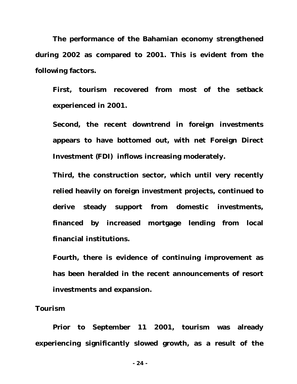**The performance of the Bahamian economy strengthened during 2002 as compared to 2001. This is evident from the following factors.**

**First, tourism recovered from most of the setback experienced in 2001.**

**Second, the recent downtrend in foreign investments appears to have bottomed out, with net Foreign Direct Investment (FDI) inflows increasing moderately.**

**Third, the construction sector, which until very recently relied heavily on foreign investment projects, continued to derive steady support from domestic investments, financed by increased mortgage lending from local financial institutions.**

**Fourth, there is evidence of continuing improvement as has been heralded in the recent announcements of resort investments and expansion.**

## *Tourism*

**Prior to September 11 2001, tourism was already experiencing significantly slowed growth, as a result of the**

**- 24 -**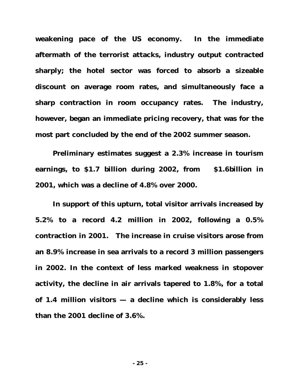**weakening pace of the US economy. In the immediate aftermath of the terrorist attacks, industry output contracted sharply; the hotel sector was forced to absorb a sizeable discount on average room rates, and simultaneously face a sharp contraction in room occupancy rates. The industry, however, began an immediate pricing recovery, that was for the most part concluded by the end of the 2002 summer season.**

**Preliminary estimates suggest a 2.3% increase in tourism earnings, to \$1.7 billion during 2002, from \$1.6billion in 2001, which was a decline of 4.8% over 2000.**

**In support of this upturn, total visitor arrivals increased by 5.2% to a record 4.2 million in 2002, following a 0.5% contraction in 2001. The increase in cruise visitors arose from an 8.9% increase in sea arrivals to a record 3 million passengers in 2002. In the context of less marked weakness in stopover activity, the decline in air arrivals tapered to 1.8%, for a total of 1.4 million visitors — a decline which is considerably less than the 2001 decline of 3.6%.**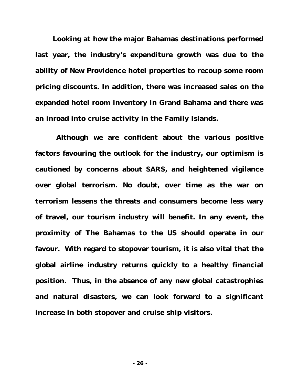**Looking at how the major Bahamas destinations performed last year, the industry's expenditure growth was due to the ability of New Providence hotel properties to recoup some room pricing discounts. In addition, there was increased sales on the expanded hotel room inventory in Grand Bahama and there was an inroad into cruise activity in the Family Islands.**

**Although we are confident about the various positive factors favouring the outlook for the industry, our optimism is cautioned by concerns about SARS, and heightened vigilance over global terrorism. No doubt, over time as the war on terrorism lessens the threats and consumers become less wary of travel, our tourism industry will benefit. In any event, the proximity of The Bahamas to the US should operate in our favour. With regard to stopover tourism, it is also vital that the global airline industry returns quickly to a healthy financial position. Thus, in the absence of any new global catastrophies and natural disasters, we can look forward to a significant increase in both stopover and cruise ship visitors.**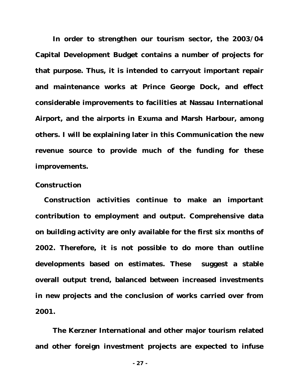**In order to strengthen our tourism sector, the 2003/04 Capital Development Budget contains a number of projects for that purpose. Thus, it is intended to carryout important repair and maintenance works at Prince George Dock, and effect considerable improvements to facilities at Nassau International Airport, and the airports in Exuma and Marsh Harbour, among others. I will be explaining later in this Communication the new revenue source to provide much of the funding for these improvements.**

## *Construction*

**Construction activities continue to make an important contribution to employment and output. Comprehensive data on building activity are only available for the first six months of 2002. Therefore, it is not possible to do more than outline developments based on estimates. These suggest a stable overall output trend, balanced between increased investments in new projects and the conclusion of works carried over from 2001.**

**The Kerzner International and other major tourism related and other foreign investment projects are expected to infuse**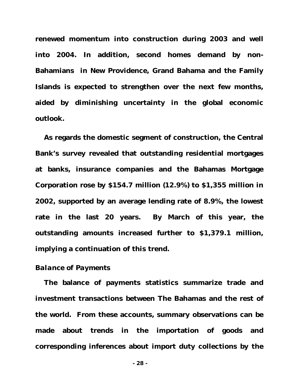**renewed momentum into construction during 2003 and well into 2004. In addition, second homes demand by non-Bahamians in New Providence, Grand Bahama and the Family Islands is expected to strengthen over the next few months, aided by diminishing uncertainty in the global economic outlook.**

**As regards the domestic segment of construction, the Central Bank's survey revealed that outstanding residential mortgages at banks, insurance companies and the Bahamas Mortgage Corporation rose by \$154.7 million (12.9%) to \$1,355 million in 2002, supported by an average lending rate of 8.9%, the lowest rate in the last 20 years. By March of this year, the outstanding amounts increased further to \$1,379.1 million, implying a continuation of this trend.**

# *Balance of Payments*

**The balance of payments statistics summarize trade and investment transactions between The Bahamas and the rest of the world. From these accounts, summary observations can be made about trends in the importation of goods and corresponding inferences about import duty collections by the**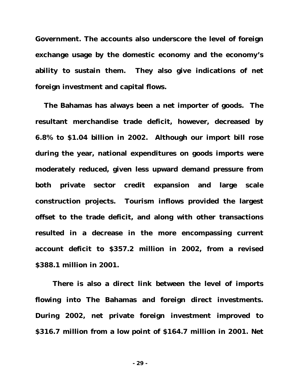**Government. The accounts also underscore the level of foreign exchange usage by the domestic economy and the economy's ability to sustain them. They also give indications of net foreign investment and capital flows.**

**The Bahamas has always been a net importer of goods. The resultant merchandise trade deficit, however, decreased by 6.8% to \$1.04 billion in 2002. Although our import bill rose during the year, national expenditures on goods imports were moderately reduced, given less upward demand pressure from both private sector credit expansion and large scale construction projects. Tourism inflows provided the largest offset to the trade deficit, and along with other transactions resulted in a decrease in the more encompassing current account deficit to \$357.2 million in 2002, from a revised \$388.1 million in 2001.**

**There is also a direct link between the level of imports flowing into The Bahamas and foreign direct investments. During 2002, net private foreign investment improved to \$316.7 million from a low point of \$164.7 million in 2001. Net**

**- 29 -**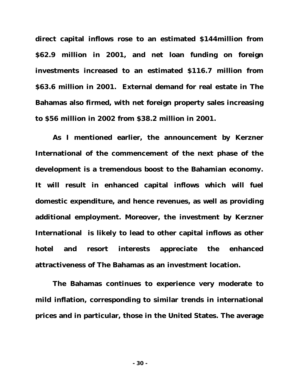**direct capital inflows rose to an estimated \$144million from \$62.9 million in 2001, and net loan funding on foreign investments increased to an estimated \$116.7 million from \$63.6 million in 2001. External demand for real estate in The Bahamas also firmed, with net foreign property sales increasing to \$56 million in 2002 from \$38.2 million in 2001.**

**As I mentioned earlier, the announcement by Kerzner International of the commencement of the next phase of the development is a tremendous boost to the Bahamian economy. It will result in enhanced capital inflows which will fuel domestic expenditure, and hence revenues, as well as providing additional employment. Moreover, the investment by Kerzner International is likely to lead to other capital inflows as other hotel and resort interests appreciate the enhanced attractiveness of The Bahamas as an investment location.**

**The Bahamas continues to experience very moderate to mild inflation, corresponding to similar trends in international prices and in particular, those in the United States. The average**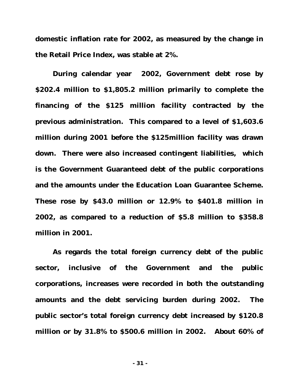**domestic inflation rate for 2002, as measured by the change in the Retail Price Index, was stable at 2%.**

**During calendar year 2002, Government debt rose by \$202.4 million to \$1,805.2 million primarily to complete the financing of the \$125 million facility contracted by the previous administration. This compared to a level of \$1,603.6 million during 2001 before the \$125million facility was drawn down. There were also increased contingent liabilities, which is the Government Guaranteed debt of the public corporations and the amounts under the Education Loan Guarantee Scheme. These rose by \$43.0 million or 12.9% to \$401.8 million in 2002, as compared to a reduction of \$5.8 million to \$358.8 million in 2001.**

**As regards the total foreign currency debt of the public sector, inclusive of the Government and the public corporations, increases were recorded in both the outstanding amounts and the debt servicing burden during 2002. The public sector's total foreign currency debt increased by \$120.8 million or by 31.8% to \$500.6 million in 2002. About 60% of**

**- 31 -**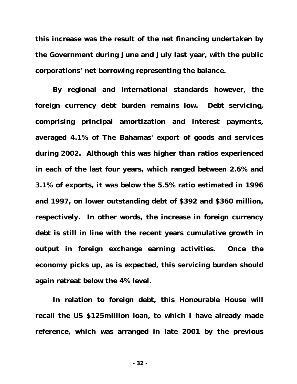**this increase was the result of the net financing undertaken by the Government during June and July last year, with the public corporations' net borrowing representing the balance.**

**By regional and international standards however, the foreign currency debt burden remains low. Debt servicing, comprising principal amortization and interest payments, averaged 4.1% of The Bahamas' export of goods and services during 2002. Although this was higher than ratios experienced in each of the last four years, which ranged between 2.6% and 3.1% of exports, it was below the 5.5% ratio estimated in 1996 and 1997, on lower outstanding debt of \$392 and \$360 million, respectively. In other words, the increase in foreign currency debt is still in line with the recent years cumulative growth in output in foreign exchange earning activities. Once the economy picks up, as is expected, this servicing burden should again retreat below the 4% level.**

**In relation to foreign debt, this Honourable House will recall the US \$125million loan, to which I have already made reference, which was arranged in late 2001 by the previous**

**- 32 -**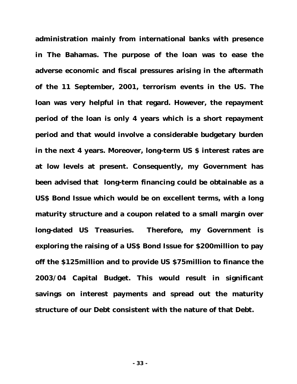**administration mainly from international banks with presence in The Bahamas. The purpose of the loan was to ease the adverse economic and fiscal pressures arising in the aftermath of the 11 September, 2001, terrorism events in the US. The loan was very helpful in that regard. However, the repayment period of the loan is only 4 years which is a short repayment period and that would involve a considerable budgetary burden in the next 4 years. Moreover, long-term US \$ interest rates are at low levels at present. Consequently, my Government has been advised that long-term financing could be obtainable as a US\$ Bond Issue which would be on excellent terms, with a long maturity structure and a coupon related to a small margin over long-dated US Treasuries. Therefore, my Government is exploring the raising of a US\$ Bond Issue for \$200million to pay off the \$125million and to provide US \$75million to finance the 2003/04 Capital Budget. This would result in significant savings on interest payments and spread out the maturity structure of our Debt consistent with the nature of that Debt.**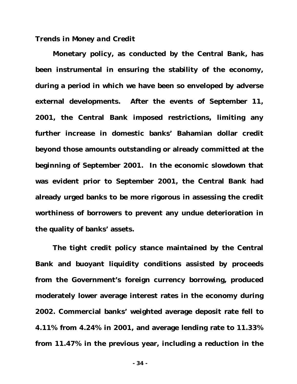# *Trends in Money and Credit*

**Monetary policy, as conducted by the Central Bank, has been instrumental in ensuring the stability of the economy, during a period in which we have been so enveloped by adverse external developments. After the events of September 11, 2001, the Central Bank imposed restrictions, limiting any further increase in domestic banks' Bahamian dollar credit beyond those amounts outstanding or already committed at the beginning of September 2001. In the economic slowdown that was evident prior to September 2001, the Central Bank had already urged banks to be more rigorous in assessing the credit worthiness of borrowers to prevent any undue deterioration in the quality of banks' assets.**

**The tight credit policy stance maintained by the Central Bank and buoyant liquidity conditions assisted by proceeds from the Government's foreign currency borrowing, produced moderately lower average interest rates in the economy during 2002. Commercial banks' weighted average deposit rate fell to 4.11% from 4.24% in 2001, and average lending rate to 11.33% from 11.47% in the previous year, including a reduction in the**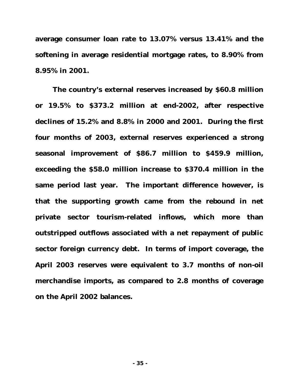**average consumer loan rate to 13.07% versus 13.41% and the softening in average residential mortgage rates, to 8.90% from 8.95% in 2001.**

**The country's external reserves increased by \$60.8 million or 19.5% to \$373.2 million at end-2002, after respective declines of 15.2% and 8.8% in 2000 and 2001. During the first four months of 2003, external reserves experienced a strong seasonal improvement of \$86.7 million to \$459.9 million, exceeding the \$58.0 million increase to \$370.4 million in the same period last year. The important difference however, is that the supporting growth came from the rebound in net private sector tourism-related inflows, which more than outstripped outflows associated with a net repayment of public sector foreign currency debt. In terms of import coverage, the April 2003 reserves were equivalent to 3.7 months of non-oil merchandise imports, as compared to 2.8 months of coverage on the April 2002 balances.**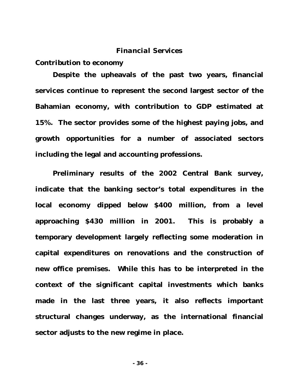#### *Financial Services*

#### *Contribution to economy*

**Despite the upheavals of the past two years, financial services continue to represent the second largest sector of the Bahamian economy, with contribution to GDP estimated at 15%. The sector provides some of the highest paying jobs, and growth opportunities for a number of associated sectors including the legal and accounting professions.**

**Preliminary results of the 2002 Central Bank survey, indicate that the banking sector's total expenditures in the local economy dipped below \$400 million, from a level approaching \$430 million in 2001. This is probably a temporary development largely reflecting some moderation in capital expenditures on renovations and the construction of new office premises. While this has to be interpreted in the context of the significant capital investments which banks made in the last three years, it also reflects important structural changes underway, as the international financial sector adjusts to the new regime in place.**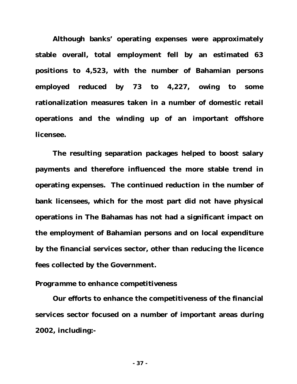**Although banks' operating expenses were approximately stable overall, total employment fell by an estimated 63 positions to 4,523, with the number of Bahamian persons employed reduced by 73 to 4,227, owing to some rationalization measures taken in a number of domestic retail operations and the winding up of an important offshore licensee.**

**The resulting separation packages helped to boost salary payments and therefore influenced the more stable trend in operating expenses. The continued reduction in the number of bank licensees, which for the most part did not have physical operations in The Bahamas has not had a significant impact on the employment of Bahamian persons and on local expenditure by the financial services sector, other than reducing the licence fees collected by the Government.**

## *Programme to enhance competitiveness*

**Our efforts to enhance the competitiveness of the financial services sector focused on a number of important areas during 2002, including:-**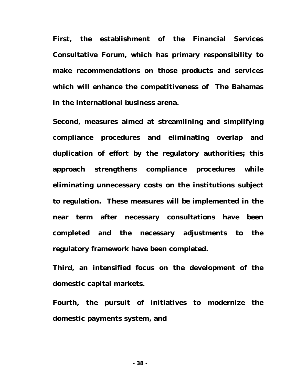**First, the establishment of the Financial Services Consultative Forum, which has primary responsibility to make recommendations on those products and services which will enhance the competitiveness of The Bahamas in the international business arena.**

**Second, measures aimed at streamlining and simplifying compliance procedures and eliminating overlap and duplication of effort by the regulatory authorities; this approach strengthens compliance procedures while eliminating unnecessary costs on the institutions subject to regulation. These measures will be implemented in the near term after necessary consultations have been completed and the necessary adjustments to the regulatory framework have been completed.**

**Third, an intensified focus on the development of the domestic capital markets.**

**Fourth, the pursuit of initiatives to modernize the domestic payments system, and**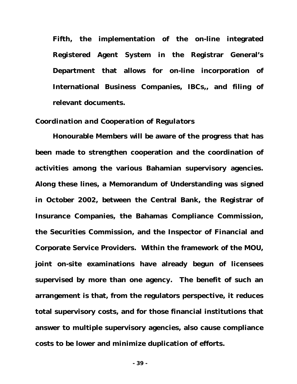**Fifth, the implementation of the on-line integrated Registered Agent System in the Registrar General's Department that allows for on-line incorporation of International Business Companies, IBCs,, and filing of relevant documents.**

## *Coordination and Cooperation of Regulators*

**Honourable Members will be aware of the progress that has been made to strengthen cooperation and the coordination of activities among the various Bahamian supervisory agencies. Along these lines, a Memorandum of Understanding was signed in October 2002, between the Central Bank, the Registrar of Insurance Companies, the Bahamas Compliance Commission, the Securities Commission, and the Inspector of Financial and Corporate Service Providers. Within the framework of the MOU, joint on-site examinations have already begun of licensees supervised by more than one agency. The benefit of such an arrangement is that, from the regulators perspective, it reduces total supervisory costs, and for those financial institutions that answer to multiple supervisory agencies, also cause compliance costs to be lower and minimize duplication of efforts.**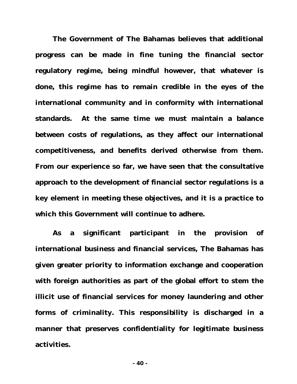**The Government of The Bahamas believes that additional progress can be made in fine tuning the financial sector regulatory regime, being mindful however, that whatever is done, this regime has to remain credible in the eyes of the international community and in conformity with international standards. At the same time we must maintain a balance between costs of regulations, as they affect our international competitiveness, and benefits derived otherwise from them. From our experience so far, we have seen that the consultative approach to the development of financial sector regulations is a key element in meeting these objectives, and it is a practice to which this Government will continue to adhere.**

**As a significant participant in the provision of international business and financial services, The Bahamas has given greater priority to information exchange and cooperation with foreign authorities as part of the global effort to stem the illicit use of financial services for money laundering and other forms of criminality. This responsibility is discharged in a manner that preserves confidentiality for legitimate business activities.**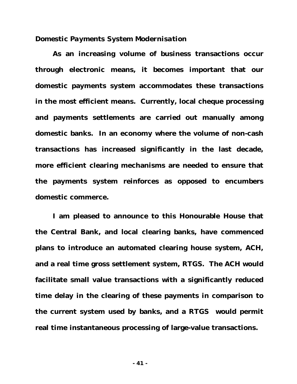## *Domestic Payments System Modernisation*

**As an increasing volume of business transactions occur through electronic means, it becomes important that our domestic payments system accommodates these transactions in the most efficient means. Currently, local cheque processing and payments settlements are carried out manually among domestic banks. In an economy where the volume of non-cash transactions has increased significantly in the last decade, more efficient clearing mechanisms are needed to ensure that the payments system reinforces as opposed to encumbers domestic commerce.**

**I am pleased to announce to this Honourable House that the Central Bank, and local clearing banks, have commenced plans to introduce an automated clearing house system, ACH, and a real time gross settlement system, RTGS. The ACH would facilitate small value transactions with a significantly reduced time delay in the clearing of these payments in comparison to the current system used by banks, and a RTGS would permit real time instantaneous processing of large-value transactions.**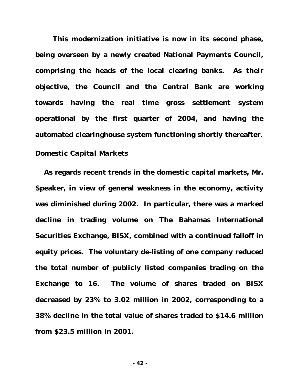**This modernization initiative is now in its second phase, being overseen by a newly created National Payments Council, comprising the heads of the local clearing banks. As their objective, the Council and the Central Bank are working towards having the real time gross settlement system operational by the first quarter of 2004, and having the automated clearinghouse system functioning shortly thereafter.**

# *Domestic Capital Markets*

**As regards recent trends in the domestic capital markets, Mr. Speaker, in view of general weakness in the economy, activity was diminished during 2002. In particular, there was a marked decline in trading volume on The Bahamas International Securities Exchange, BISX, combined with a continued falloff in equity prices. The voluntary de-listing of one company reduced the total number of publicly listed companies trading on the Exchange to 16. The volume of shares traded on BISX decreased by 23% to 3.02 million in 2002, corresponding to a 38% decline in the total value of shares traded to \$14.6 million from \$23.5 million in 2001.**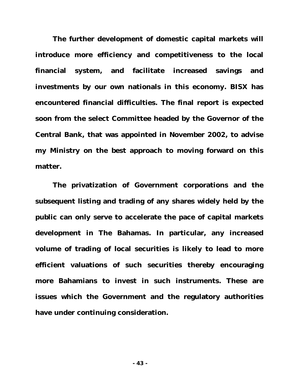**The further development of domestic capital markets will introduce more efficiency and competitiveness to the local financial system, and facilitate increased savings and investments by our own nationals in this economy. BISX has encountered financial difficulties. The final report is expected soon from the select Committee headed by the Governor of the Central Bank, that was appointed in November 2002, to advise my Ministry on the best approach to moving forward on this matter.**

**The privatization of Government corporations and the subsequent listing and trading of any shares widely held by the public can only serve to accelerate the pace of capital markets development in The Bahamas. In particular, any increased volume of trading of local securities is likely to lead to more efficient valuations of such securities thereby encouraging more Bahamians to invest in such instruments. These are issues which the Government and the regulatory authorities have under continuing consideration.**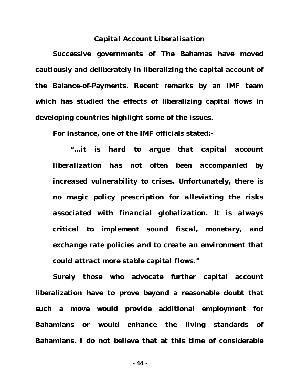#### *Capital Account Liberalisation*

**Successive governments of The Bahamas have moved cautiously and deliberately in liberalizing the capital account of the Balance-of-Payments. Recent remarks by an IMF team which has studied the effects of liberalizing capital flows in developing countries highlight some of the issues.**

**For instance, one of the IMF officials stated:-**

**"***…it is hard to argue that capital account liberalization has not often been accompanied by increased vulnerability to crises. Unfortunately, there is no magic policy prescription for alleviating the risks associated with financial globalization. It is always critical to implement sound fiscal, monetary, and exchange rate policies and to create an environment that could attract more stable capital flows."*

**Surely those who advocate further capital account liberalization have to prove beyond a reasonable doubt that such a move would provide additional employment for Bahamians or would enhance the living standards of Bahamians. I do not believe that at this time of considerable**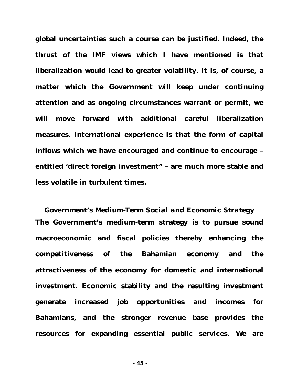**global uncertainties such a course can be justified. Indeed, the thrust of the IMF views which I have mentioned is that liberalization would lead to greater volatility. It is, of course, a matter which the Government will keep under continuing attention and as ongoing circumstances warrant or permit, we will move forward with additional careful liberalization measures. International experience is that the form of capital inflows which we have encouraged and continue to encourage – entitled 'direct foreign investment" – are much more stable and less volatile in turbulent times.**

*Government's Medium-Term Social and Economic Strategy* **The Government's medium-term strategy is to pursue sound macroeconomic and fiscal policies thereby enhancing the competitiveness of the Bahamian economy and the attractiveness of the economy for domestic and international investment. Economic stability and the resulting investment generate increased job opportunities and incomes for Bahamians, and the stronger revenue base provides the resources for expanding essential public services. We are**

**- 45 -**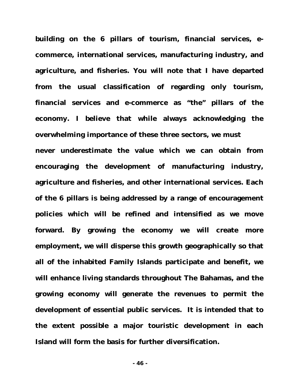**building on the 6 pillars of tourism, financial services, ecommerce, international services, manufacturing industry, and agriculture, and fisheries. You will note that I have departed from the usual classification of regarding only tourism, financial services and e-commerce as "***the"* **pillars of the economy. I believe that while always acknowledging the overwhelming importance of these three sectors, we must never underestimate the value which we can obtain from encouraging the development of manufacturing industry, agriculture and fisheries, and other international services. Each of the 6 pillars is being addressed by a range of encouragement policies which will be refined and intensified as we move forward. By growing the economy we will create more employment, we will disperse this growth geographically so that all of the inhabited Family Islands participate and benefit, we will enhance living standards throughout The Bahamas, and the growing economy will generate the revenues to permit the development of essential public services. It is intended that to the extent possible a major touristic development in each Island will form the basis for further diversification.**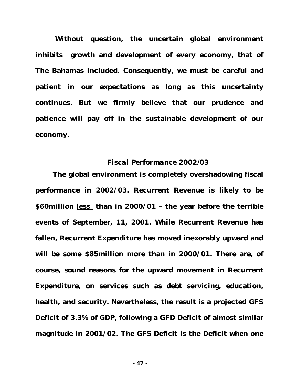**Without question, the uncertain global environment inhibits growth and development of every economy, that of The Bahamas included. Consequently, we must be careful and patient in our expectations as long as this uncertainty continues. But we firmly believe that our prudence and patience will pay off in the sustainable development of our economy.**

## *Fiscal Performance 2002/03*

**The global environment is completely overshadowing fiscal performance in 2002/03. Recurrent Revenue is likely to be \$60million less than in 2000/01 – the year before the terrible events of September, 11, 2001. While Recurrent Revenue has fallen, Recurrent Expenditure has moved inexorably upward and will be some \$85million more than in 2000/01. There are, of course, sound reasons for the upward movement in Recurrent Expenditure, on services such as debt servicing, education, health, and security. Nevertheless, the result is a projected GFS Deficit of 3.3% of GDP, following a GFD Deficit of almost similar magnitude in 2001/02. The GFS Deficit is the Deficit when one**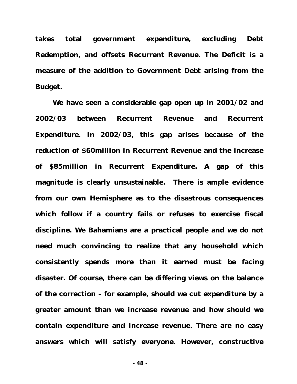**takes total government expenditure, excluding Debt Redemption, and offsets Recurrent Revenue. The Deficit is a measure of the addition to Government Debt arising from the Budget.**

**We have seen a considerable gap open up in 2001/02 and 2002/03 between Recurrent Revenue and Recurrent Expenditure. In 2002/03, this gap arises because of the reduction of \$60million in Recurrent Revenue and the increase of \$85million in Recurrent Expenditure. A gap of this magnitude is clearly unsustainable. There is ample evidence from our own Hemisphere as to the disastrous consequences which follow if a country fails or refuses to exercise fiscal discipline. We Bahamians are a practical people and we do not need much convincing to realize that any household which consistently spends more than it earned must be facing disaster. Of course, there can be differing views on the balance of the correction – for example, should we cut expenditure by a greater amount than we increase revenue and how should we contain expenditure and increase revenue. There are no easy answers which will satisfy everyone. However, constructive**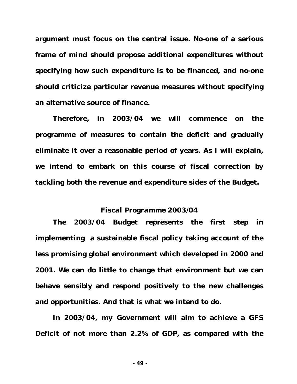**argument must focus on the central issue. No-one of a serious frame of mind should propose additional expenditures without specifying how such expenditure is to be financed, and no-one should criticize particular revenue measures without specifying an alternative source of finance.**

**Therefore, in 2003/04 we will commence on the programme of measures to contain the deficit and gradually eliminate it over a reasonable period of years. As I will explain, we intend to embark on this course of fiscal correction by tackling both the revenue and expenditure sides of the Budget.**

#### *Fiscal Programme 2003/04*

**The 2003/04 Budget represents the first step in implementing a sustainable fiscal policy taking account of the less promising global environment which developed in 2000 and 2001. We can do little to change that environment but we can behave sensibly and respond positively to the new challenges and opportunities. And that is what we intend to do.**

**In 2003/04, my Government will aim to achieve a GFS Deficit of not more than 2.2% of GDP, as compared with the**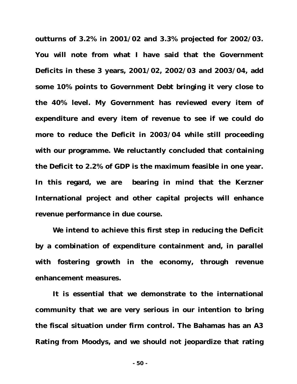**outturns of 3.2% in 2001/02 and 3.3% projected for 2002/03. You will note from what I have said that the Government Deficits in these 3 years, 2001/02, 2002/03 and 2003/04, add some 10% points to Government Debt bringing it very close to the 40% level. My Government has reviewed every item of expenditure and every item of revenue to see if we could do more to reduce the Deficit in 2003/04 while still proceeding with our programme. We reluctantly concluded that containing the Deficit to 2.2% of GDP is the maximum feasible in one year. In this regard, we are bearing in mind that the Kerzner International project and other capital projects will enhance revenue performance in due course.**

**We intend to achieve this first step in reducing the Deficit by a combination of expenditure containment and, in parallel with fostering growth in the economy, through revenue enhancement measures.**

**It is essential that we demonstrate to the international community that we are very serious in our intention to bring the fiscal situation under firm control. The Bahamas has an A3 Rating from Moodys, and we should not jeopardize that rating**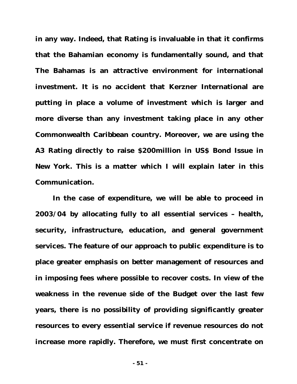**in any way. Indeed, that Rating is invaluable in that it confirms that the Bahamian economy is fundamentally sound, and that The Bahamas is an attractive environment for international investment. It is no accident that Kerzner International are putting in place a volume of investment which is larger and more diverse than any investment taking place in any other Commonwealth Caribbean country. Moreover, we are using the A3 Rating directly to raise \$200million in US\$ Bond Issue in New York. This is a matter which I will explain later in this Communication.**

**In the case of expenditure, we will be able to proceed in 2003/04 by allocating fully to all essential services – health, security, infrastructure, education, and general government services. The feature of our approach to public expenditure is to place greater emphasis on better management of resources and in imposing fees where possible to recover costs. In view of the weakness in the revenue side of the Budget over the last few years, there is no possibility of providing significantly greater resources to every essential service if revenue resources do not increase more rapidly. Therefore, we must first concentrate on**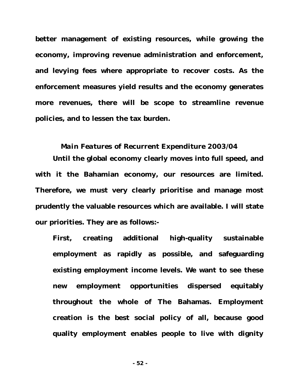**better management of existing resources, while growing the economy, improving revenue administration and enforcement, and levying fees where appropriate to recover costs. As the enforcement measures yield results and the economy generates more revenues, there will be scope to streamline revenue policies, and to lessen the tax burden.**

## *Main Features of Recurrent Expenditure 2003/04*

**Until the global economy clearly moves into full speed, and with it the Bahamian economy, our resources are limited. Therefore, we must very clearly prioritise and manage most prudently the valuable resources which are available. I will state our priorities. They are as follows:-**

**First, creating additional high-quality sustainable employment as rapidly as possible, and safeguarding existing employment income levels. We want to see these new employment opportunities dispersed equitably throughout the whole of The Bahamas. Employment creation is the best social policy of all, because good quality employment enables people to live with dignity**

**- 52 -**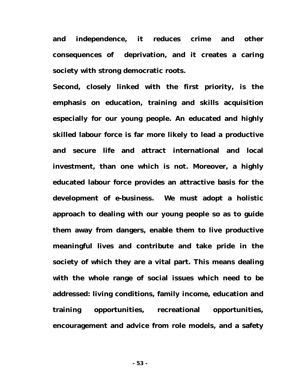**and independence, it reduces crime and other consequences of deprivation, and it creates a caring society with strong democratic roots.**

**Second, closely linked with the first priority, is the emphasis on education, training and skills acquisition especially for our young people. An educated and highly skilled labour force is far more likely to lead a productive and secure life and attract international and local investment, than one which is not. Moreover, a highly educated labour force provides an attractive basis for the development of e-business. We must adopt a holistic approach to dealing with our young people so as to guide them away from dangers, enable them to live productive meaningful lives and contribute and take pride in the society of which they are a vital part. This means dealing with the whole range of social issues which need to be addressed: living conditions, family income, education and training opportunities, recreational opportunities, encouragement and advice from role models, and a safety**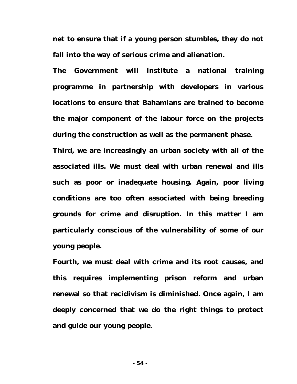**net to ensure that if a young person stumbles, they do not fall into the way of serious crime and alienation.**

**The Government will institute a national training programme in partnership with developers in various locations to ensure that Bahamians are trained to become the major component of the labour force on the projects during the construction as well as the permanent phase.**

**Third, we are increasingly an urban society with all of the associated ills. We must deal with urban renewal and ills such as poor or inadequate housing. Again, poor living conditions are too often associated with being breeding grounds for crime and disruption. In this matter I am particularly conscious of the vulnerability of some of our young people.**

**Fourth, we must deal with crime and its root causes, and this requires implementing prison reform and urban renewal so that recidivism is diminished. Once again, I am deeply concerned that we do the right things to protect and guide our young people.**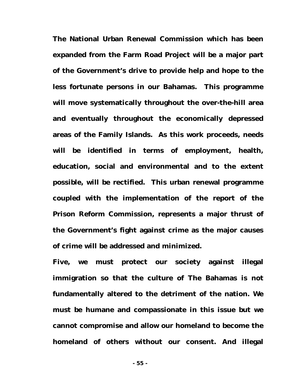**The National Urban Renewal Commission which has been expanded from the Farm Road Project will be a major part of the Government's drive to provide help and hope to the less fortunate persons in our Bahamas. This programme will move systematically throughout the over-the-hill area and eventually throughout the economically depressed areas of the Family Islands. As this work proceeds, needs will be identified in terms of employment, health, education, social and environmental and to the extent possible, will be rectified. This urban renewal programme coupled with the implementation of the report of the Prison Reform Commission, represents a major thrust of the Government's fight against crime as the major causes of crime will be addressed and minimized.**

**Five, we must protect our society against illegal immigration so that the culture of The Bahamas is not fundamentally altered to the detriment of the nation. We must be humane and compassionate in this issue but we cannot compromise and allow our homeland to become the homeland of others without our consent. And illegal**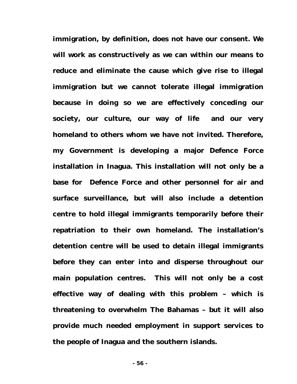**immigration, by definition, does not have our consent. We will work as constructively as we can within our means to reduce and eliminate the cause which give rise to illegal immigration but we cannot tolerate illegal immigration because in doing so we are effectively conceding our society, our culture, our way of life and our very homeland to others whom we have not invited. Therefore, my Government is developing a major Defence Force installation in Inagua. This installation will not only be a base for Defence Force and other personnel for air and surface surveillance, but will also include a detention centre to hold illegal immigrants temporarily before their repatriation to their own homeland. The installation's detention centre will be used to detain illegal immigrants before they can enter into and disperse throughout our main population centres. This will not only be a cost effective way of dealing with this problem – which is threatening to overwhelm The Bahamas – but it will also provide much needed employment in support services to the people of Inagua and the southern islands.**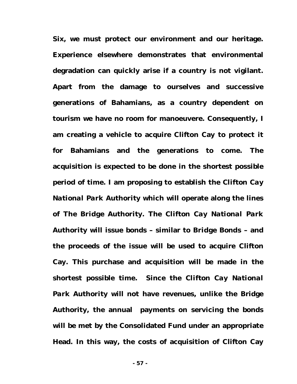**Six, we must protect our environment and our heritage. Experience elsewhere demonstrates that environmental degradation can quickly arise if a country is not vigilant. Apart from the damage to ourselves and successive generations of Bahamians, as a country dependent on tourism we have no room for manoeuvere. Consequently, I am creating a vehicle to acquire Clifton Cay to protect it for Bahamians and the generations to come. The acquisition is expected to be done in the shortest possible period of time. I am proposing to establish the** *Clifton Cay National Park Authority* **which will operate along the lines of** *The Bridge Authority***. The** *Clifton Cay National Park Authority* **will issue bonds – similar to** *Bridge Bonds –* **and the proceeds of the issue will be used to acquire Clifton Cay. This purchase and acquisition will be made in the shortest possible time. Since the** *Clifton Cay National Park Authority* **will not have revenues, unlike the Bridge Authority, the annual payments on servicing the bonds will be met by the Consolidated Fund under an appropriate Head. In this way, the costs of acquisition of Clifton Cay**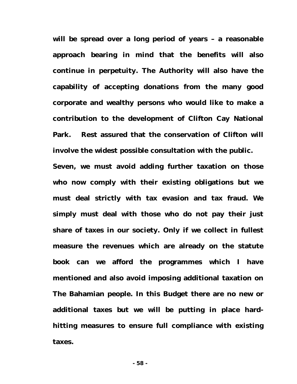**will be spread over a long period of years – a reasonable approach bearing in mind that the benefits will also continue in perpetuity. The Authority will also have the capability of accepting donations from the many good corporate and wealthy persons who would like to make a contribution to the development of Clifton Cay National Park. Rest assured that the conservation of Clifton will involve the widest possible consultation with the public.**

**Seven, we must avoid adding further taxation on those who now comply with their existing obligations but we must deal strictly with tax evasion and tax fraud. We simply must deal with those who do not pay their just share of taxes in our society. Only if we collect in fullest measure the revenues which are already on the statute book can we afford the programmes which I have mentioned and also avoid imposing additional taxation on The Bahamian people. In this Budget there are no new or additional taxes but we will be putting in place hardhitting measures to ensure full compliance with existing taxes.**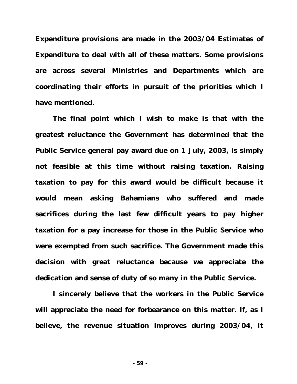**Expenditure provisions are made in the 2003/04 Estimates of Expenditure to deal with all of these matters. Some provisions are across several Ministries and Departments which are coordinating their efforts in pursuit of the priorities which I have mentioned.**

**The final point which I wish to make is that with the greatest reluctance the Government has determined that the Public Service general pay award due on 1 July, 2003, is simply not feasible at this time without raising taxation. Raising taxation to pay for this award would be difficult because it would mean asking Bahamians who suffered and made sacrifices during the last few difficult years to pay higher taxation for a pay increase for those in the Public Service who were exempted from such sacrifice. The Government made this decision with great reluctance because we appreciate the dedication and sense of duty of so many in the Public Service.**

**I sincerely believe that the workers in the Public Service will appreciate the need for forbearance on this matter. If, as I believe, the revenue situation improves during 2003/04, it**

**- 59 -**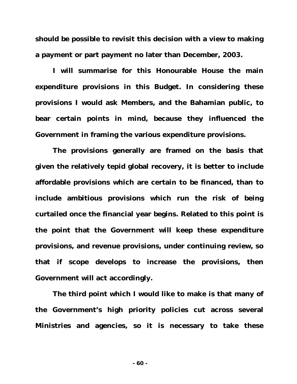**should be possible to revisit this decision with a view to making a payment or part payment no later than December, 2003.**

**I will summarise for this Honourable House the main expenditure provisions in this Budget. In considering these provisions I would ask Members, and the Bahamian public, to bear certain points in mind, because they influenced the Government in framing the various expenditure provisions.**

**The provisions generally are framed on the basis that given the relatively tepid global recovery, it is better to include affordable provisions which are certain to be financed, than to include ambitious provisions which run the risk of being curtailed once the financial year begins. Related to this point is the point that the Government will keep these expenditure provisions, and revenue provisions, under continuing review, so that if scope develops to increase the provisions, then Government will act accordingly.**

**The third point which I would like to make is that many of the Government's high priority policies cut across several Ministries and agencies, so it is necessary to take these**

**- 60 -**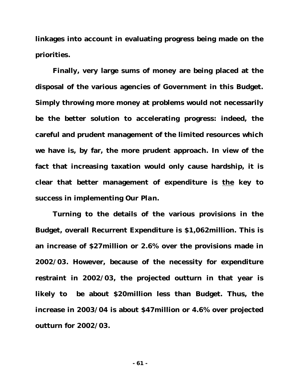**linkages into account in evaluating progress being made on the priorities.**

**Finally, very large sums of money are being placed at the disposal of the various agencies of Government in this Budget. Simply throwing more money at problems would not necessarily be the better solution to accelerating progress: indeed, the careful and prudent management of the limited resources which we have is, by far, the more prudent approach. In view of the fact that increasing taxation would only cause hardship, it is clear that better management of expenditure is the key to success in implementing** *Our Plan.*

**Turning to the details of the various provisions in the Budget, overall Recurrent Expenditure is \$1,062million. This is an increase of \$27million or 2.6% over the provisions made in 2002/03. However, because of the necessity for expenditure restraint in 2002/03, the projected outturn in that year is likely to be about \$20million less than Budget. Thus, the increase in 2003/04 is about \$47million or 4.6% over projected outturn for 2002/03.**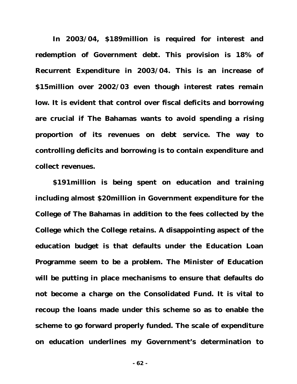**In 2003/04, \$189million is required for interest and redemption of Government debt. This provision is 18% of Recurrent Expenditure in 2003/04. This is an increase of \$15million over 2002/03 even though interest rates remain low. It is evident that control over fiscal deficits and borrowing are crucial if The Bahamas wants to avoid spending a rising proportion of its revenues on debt service. The way to controlling deficits and borrowing is to contain expenditure and collect revenues.**

**\$191million is being spent on education and training including almost \$20million in Government expenditure for the College of The Bahamas in addition to the fees collected by the College which the College retains. A disappointing aspect of the education budget is that defaults under the Education Loan Programme seem to be a problem. The Minister of Education will be putting in place mechanisms to ensure that defaults do not become a charge on the Consolidated Fund. It is vital to recoup the loans made under this scheme so as to enable the scheme to go forward properly funded. The scale of expenditure on education underlines my Government's determination to**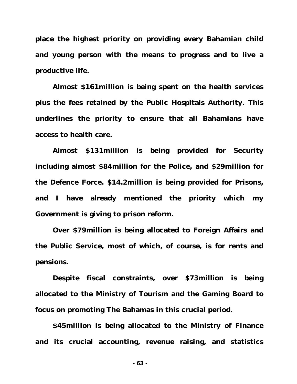**place the highest priority on providing every Bahamian child and young person with the means to progress and to live a productive life.**

**Almost \$161million is being spent on the health services plus the fees retained by the Public Hospitals Authority. This underlines the priority to ensure that all Bahamians have access to health care.**

**Almost \$131million is being provided for Security including almost \$84million for the Police, and \$29million for the Defence Force. \$14.2million is being provided for Prisons, and I have already mentioned the priority which my Government is giving to prison reform.**

**Over \$79million is being allocated to Foreign Affairs and the Public Service, most of which, of course, is for rents and pensions.**

**Despite fiscal constraints, over \$73million is being allocated to the Ministry of Tourism and the Gaming Board to focus on promoting The Bahamas in this crucial period.**

**\$45million is being allocated to the Ministry of Finance and its crucial accounting, revenue raising, and statistics**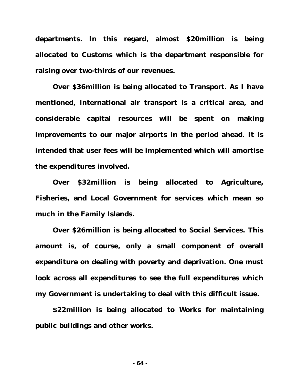**departments. In this regard, almost \$20million is being allocated to Customs which is the department responsible for raising over two-thirds of our revenues.**

**Over \$36million is being allocated to Transport. As I have mentioned, international air transport is a critical area, and considerable capital resources will be spent on making improvements to our major airports in the period ahead. It is intended that user fees will be implemented which will amortise the expenditures involved.**

**Over \$32million is being allocated to Agriculture, Fisheries, and Local Government for services which mean so much in the Family Islands.**

**Over \$26million is being allocated to Social Services. This amount is, of course, only a small component of overall expenditure on dealing with poverty and deprivation. One must look across all expenditures to see the full expenditures which my Government is undertaking to deal with this difficult issue.**

**\$22million is being allocated to Works for maintaining public buildings and other works.**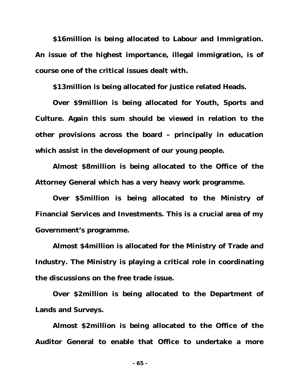**\$16million is being allocated to Labour and Immigration. An issue of the highest importance, illegal immigration, is of course one of the critical issues dealt with.**

**\$13million is being allocated for justice related Heads.** 

**Over \$9million is being allocated for Youth, Sports and Culture. Again this sum should be viewed in relation to the other provisions across the board – principally in education which assist in the development of our young people.**

**Almost \$8million is being allocated to the Office of the Attorney General which has a very heavy work programme.**

**Over \$5million is being allocated to the Ministry of Financial Services and Investments. This is a crucial area of my Government's programme.**

**Almost \$4million is allocated for the Ministry of Trade and Industry. The Ministry is playing a critical role in coordinating the discussions on the free trade issue.**

**Over \$2million is being allocated to the Department of Lands and Surveys.**

**Almost \$2million is being allocated to the Office of the Auditor General to enable that Office to undertake a more**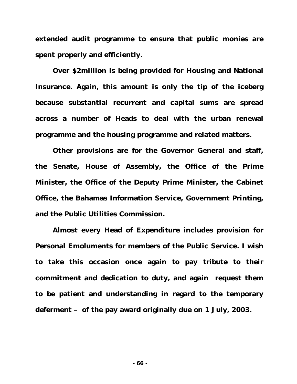**extended audit programme to ensure that public monies are spent properly and efficiently.**

**Over \$2million is being provided for Housing and National Insurance. Again, this amount is only the tip of the iceberg because substantial recurrent and capital sums are spread across a number of Heads to deal with the urban renewal programme and the housing programme and related matters.**

**Other provisions are for the Governor General and staff, the Senate, House of Assembly, the Office of the Prime Minister, the Office of the Deputy Prime Minister, the Cabinet Office, the Bahamas Information Service, Government Printing, and the Public Utilities Commission.**

**Almost every Head of Expenditure includes provision for Personal Emoluments for members of the Public Service. I wish to take this occasion once again to pay tribute to their commitment and dedication to duty, and again request them to be patient and understanding in regard to the temporary deferment – of the pay award originally due on 1 July, 2003.**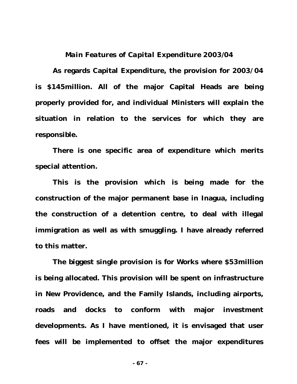### *Main Features of Capital Expenditure 2003/04*

**As regards Capital Expenditure, the provision for 2003/04 is \$145million. All of the major Capital Heads are being properly provided for, and individual Ministers will explain the situation in relation to the services for which they are responsible.**

**There is one specific area of expenditure which merits special attention.**

**This is the provision which is being made for the construction of the major permanent base in Inagua, including the construction of a detention centre, to deal with illegal immigration as well as with smuggling. I have already referred to this matter.**

**The biggest single provision is for Works where \$53million is being allocated. This provision will be spent on infrastructure in New Providence, and the Family Islands, including airports, roads and docks to conform with major investment developments. As I have mentioned, it is envisaged that user fees will be implemented to offset the major expenditures**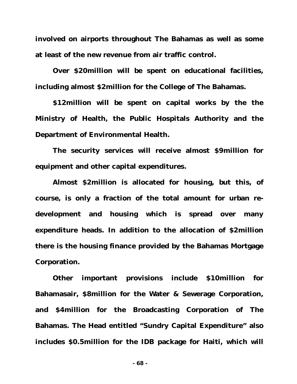**involved on airports throughout The Bahamas as well as some at least of the new revenue from air traffic control.**

**Over \$20million will be spent on educational facilities, including almost \$2million for the College of The Bahamas.**

**\$12million will be spent on capital works by the the Ministry of Health, the Public Hospitals Authority and the Department of Environmental Health.**

**The security services will receive almost \$9million for equipment and other capital expenditures.**

**Almost \$2million is allocated for housing, but this, of course, is only a fraction of the total amount for urban redevelopment and housing which is spread over many expenditure heads. In addition to the allocation of \$2million there is the housing finance provided by the Bahamas Mortgage Corporation.**

**Other important provisions include \$10million for Bahamasair, \$8million for the Water & Sewerage Corporation, and \$4million for the Broadcasting Corporation of The Bahamas. The Head entitled "Sundry Capital Expenditure" also includes \$0.5million for the IDB package for Haiti, which will**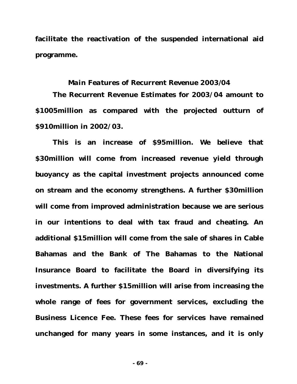**facilitate the reactivation of the suspended international aid programme.**

#### *Main Features of Recurrent Revenue 2003/04*

**The Recurrent Revenue Estimates for 2003/04 amount to \$1005million as compared with the projected outturn of \$910million in 2002/03.**

**This is an increase of \$95million. We believe that \$30million will come from increased revenue yield through buoyancy as the capital investment projects announced come on stream and the economy strengthens. A further \$30million will come from improved administration because we are serious in our intentions to deal with tax fraud and cheating. An additional \$15million will come from the sale of shares in Cable Bahamas and the Bank of The Bahamas to the National Insurance Board to facilitate the Board in diversifying its investments. A further \$15million will arise from increasing the whole range of fees for government services, excluding the Business Licence Fee. These fees for services have remained unchanged for many years in some instances, and it is only**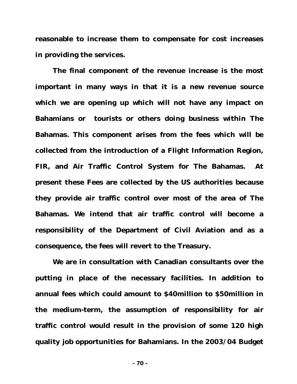**reasonable to increase them to compensate for cost increases in providing the services.**

**The final component of the revenue increase is the most important in many ways in that it is a new revenue source which we are opening up which will not have any impact on Bahamians or tourists or others doing business within The Bahamas. This component arises from the fees which will be collected from the introduction of a Flight Information Region, FIR, and Air Traffic Control System for The Bahamas. At present these Fees are collected by the US authorities because they provide air traffic control over most of the area of The Bahamas. We intend that air traffic control will become a responsibility of the Department of Civil Aviation and as a consequence, the fees will revert to the Treasury.**

**We are in consultation with Canadian consultants over the putting in place of the necessary facilities. In addition to annual fees which could amount to \$40million to \$50million in the medium-term, the assumption of responsibility for air traffic control would result in the provision of some 120 high quality job opportunities for Bahamians. In the 2003/04 Budget**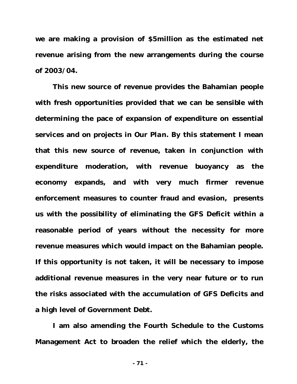**we are making a provision of \$5million as the estimated net revenue arising from the new arrangements during the course of 2003/04.**

**This new source of revenue provides the Bahamian people with fresh opportunities provided that we can be sensible with determining the pace of expansion of expenditure on essential services and on projects in** *Our Plan.* **By this statement I mean that this new source of revenue, taken in conjunction with expenditure moderation, with revenue buoyancy as the economy expands, and with very much firmer revenue enforcement measures to counter fraud and evasion, presents us with the possibility of eliminating the GFS Deficit within a reasonable period of years without the necessity for more revenue measures which would impact on the Bahamian people. If this opportunity is not taken, it will be necessary to impose additional revenue measures in the very near future or to run the risks associated with the accumulation of GFS Deficits and a high level of Government Debt.**

**I am also amending the Fourth Schedule to the Customs Management Act to broaden the relief which the elderly, the**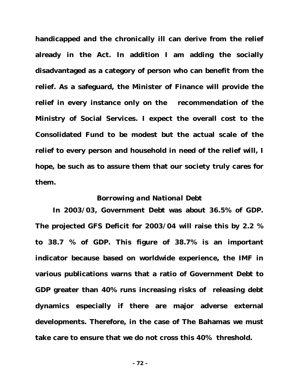**handicapped and the chronically ill can derive from the relief already in the Act. In addition I am adding the socially disadvantaged as a category of person who can benefit from the relief. As a safeguard, the Minister of Finance will provide the relief in every instance only on the recommendation of the Ministry of Social Services. I expect the overall cost to the Consolidated Fund to be modest but the actual scale of the relief to every person and household in need of the relief will, I hope, be such as to assure them that our society truly cares for them.**

## *Borrowing and National Debt*

**In 2003/03, Government Debt was about 36.5% of GDP. The projected GFS Deficit for 2003/04 will raise this by 2.2 % to 38.7 % of GDP. This figure of 38.7% is an important indicator because based on worldwide experience, the IMF in various publications warns that a ratio of Government Debt to GDP greater than 40% runs increasing risks of releasing debt dynamics especially if there are major adverse external developments. Therefore, in the case of The Bahamas we must take care to ensure that we do not cross this 40% threshold.**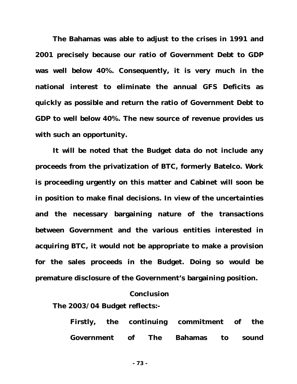**The Bahamas was able to adjust to the crises in 1991 and 2001 precisely because our ratio of Government Debt to GDP was well below 40%. Consequently, it is very much in the national interest to eliminate the annual GFS Deficits as quickly as possible and return the ratio of Government Debt to GDP to well below 40%. The new source of revenue provides us with such an opportunity.**

**It will be noted that the Budget data do not include any proceeds from the privatization of BTC, formerly Batelco. Work is proceeding urgently on this matter and Cabinet will soon be in position to make final decisions. In view of the uncertainties and the necessary bargaining nature of the transactions between Government and the various entities interested in acquiring BTC, it would not be appropriate to make a provision for the sales proceeds in the Budget. Doing so would be premature disclosure of the Government's bargaining position.**

## *Conclusion*

**The 2003/04 Budget reflects:-**

**Firstly, the continuing commitment of the Government of The Bahamas to sound**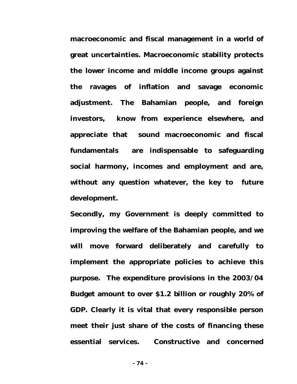**macroeconomic and fiscal management in a world of great uncertainties. Macroeconomic stability protects the lower income and middle income groups against the ravages of inflation and savage economic adjustment. The Bahamian people, and foreign investors, know from experience elsewhere, and appreciate that sound macroeconomic and fiscal fundamentals are indispensable to safeguarding social harmony, incomes and employment and are, without any question whatever, the key to future development.**

**Secondly, my Government is deeply committed to improving the welfare of the Bahamian people, and we will move forward deliberately and carefully to implement the appropriate policies to achieve this purpose. The expenditure provisions in the 2003/04 Budget amount to over \$1.2 billion or roughly 20% of GDP. Clearly it is vital that every responsible person meet their just share of the costs of financing these essential services. Constructive and concerned**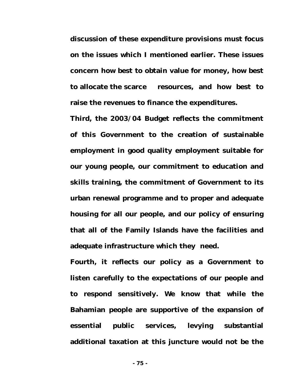**discussion of these expenditure provisions must focus on the issues which I mentioned earlier. These issues concern how best to obtain value for money, how best to allocate the scarce resources, and how best to raise the revenues to finance the expenditures.**

**Third, the 2003/04 Budget reflects the commitment of this Government to the creation of sustainable employment in good quality employment suitable for our young people, our commitment to education and skills training, the commitment of Government to its urban renewal programme and to proper and adequate housing for all our people, and our policy of ensuring that all of the Family Islands have the facilities and adequate infrastructure which they need.**

**Fourth, it reflects our policy as a Government to listen carefully to the expectations of our people and to respond sensitively. We know that while the Bahamian people are supportive of the expansion of essential public services, levying substantial additional taxation at this juncture would not be the**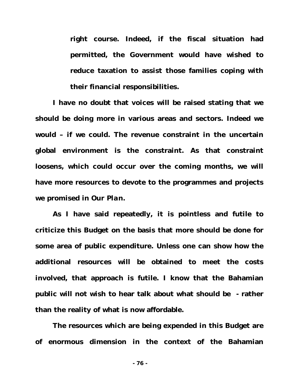**right course. Indeed, if the fiscal situation had permitted, the Government would have wished to reduce taxation to assist those families coping with their financial responsibilities.**

**I have no doubt that voices will be raised stating that we should be doing more in various areas and sectors. Indeed we would – if we could. The revenue constraint in the uncertain global environment is the constraint. As that constraint loosens, which could occur over the coming months, we will have more resources to devote to the programmes and projects we promised in** *Our Plan.*

**As I have said repeatedly, it is pointless and futile to criticize this Budget on the basis that more should be done for some area of public expenditure. Unless one can show how the additional resources will be obtained to meet the costs involved, that approach is futile. I know that the Bahamian public will not wish to hear talk about what should be - rather than the reality of what is now affordable.**

**The resources which are being expended in this Budget are of enormous dimension in the context of the Bahamian**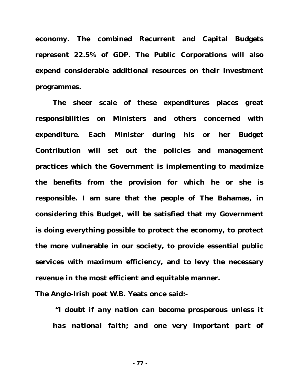**economy. The combined Recurrent and Capital Budgets represent 22.5% of GDP. The Public Corporations will also expend considerable additional resources on their investment programmes.**

**The sheer scale of these expenditures places great responsibilities on Ministers and others concerned with expenditure. Each Minister during his or her Budget Contribution will set out the policies and management practices which the Government is implementing to maximize the benefits from the provision for which he or she is responsible. I am sure that the people of The Bahamas, in considering this Budget, will be satisfied that my Government is doing everything possible to protect the economy, to protect the more vulnerable in our society, to provide essential public services with maximum efficiency, and to levy the necessary revenue in the most efficient and equitable manner.**

**The Anglo-Irish poet W.B. Yeats once said:-**

*"I doubt if any nation can become prosperous unless it has national faith; and one very important part of*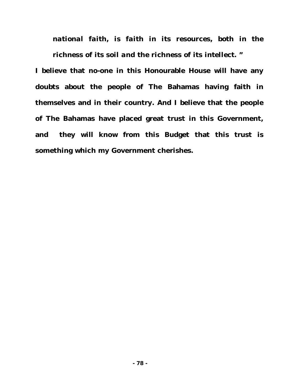*national faith, is faith in its resources, both in the richness of its soil and the richness of its intellect. "*

**I believe that no-one in this Honourable House will have any doubts about the people of The Bahamas having faith in themselves and in their country. And I believe that the people of The Bahamas have placed great trust in this Government, and they will know from this Budget that this trust is something which my Government cherishes.**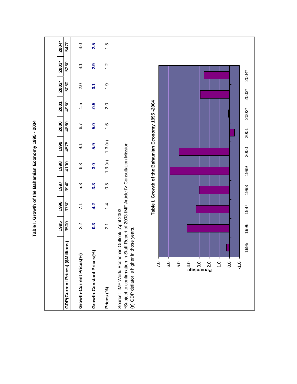| i<br>ı |
|--------|
| ï      |
| I      |
| :<br>j |
|        |
|        |

| 2004*<br>5470<br>2003*<br>5260<br>1.2<br>2.9<br>$\frac{1}{4}$ |
|---------------------------------------------------------------|
|---------------------------------------------------------------|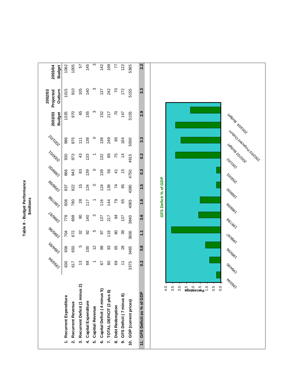| ā<br>ř<br>ň<br>⋍<br>≂ |  |
|-----------------------|--|
|-----------------------|--|

|      |                                  | <b>AGECON</b>      | Serbook          | <b>SE-SEE</b>     | L6:96cl           | 86/LOGI              | eerbeer | ODEGGL        | LOIDO          | 2007 lop            | 2002/03<br><b>Budget</b> | Outturn<br>2002/03<br>Projected | 2003/04<br><b>Budget</b> |
|------|----------------------------------|--------------------|------------------|-------------------|-------------------|----------------------|---------|---------------|----------------|---------------------|--------------------------|---------------------------------|--------------------------|
|      | 1. Recurrent Expenditure         | 630                | 656              | 704               | 778               | 808                  | 837     | 866           | 930            | 986                 | 1035                     | 1015                            | 1062                     |
| ี่ผ่ | Recurrent Revenue                | 617                | 650              | 672               | 698               | 780                  | 822     | 943           | 973            | 875                 | 970                      | 910                             | 1005                     |
|      | 3. Recurrent Deficit (1 minus 2) | 13                 | Ю                | 32                | $\rm ^{8}$        | 28                   | 40      | 83            | 43             | 11                  | 65                       | 105                             | 57                       |
|      | 4. Capital Expenditure           | 89                 | 100              | 92                | 140               | 117                  | 124     | 139           | 133            | 138                 | 155                      | 140                             | 145                      |
| ທ່   | <b>Capitial Revenue</b>          | $\overline{ }$     | $\tilde{c}$      | Ю                 | $\mathfrak{S}$    |                      | $\circ$ | $\circ$       | ↽              | $\circ$             | ო                        | $\infty$                        | S                        |
|      | 6. Capital Deficit (4 minus 5)   | 67                 | $^{\rm 8}$       | 29                | 137               | 116                  | 124     | 139           | 132            | 138                 | 152                      | 137                             | 142                      |
|      | 7. TOTAL DEFICIT (3 plus 6)      | $\pmb{\mathbb{S}}$ | 33               | 119               | 217               | 144                  | 139     | 56            | 89             | 249                 | 217                      | 242                             | 199                      |
|      | 8. Debt Redemption               | 89                 | 65               | 80                | $\mathfrak{A}$    | 79                   | 74      | $\frac{4}{3}$ | 75             | 85                  | $\mathcal{L}$            | 20                              | 77                       |
|      | 9. GFS Deficit (7 minus 8)       | $\tilde{\tau}$     | 28               | 39                | 137               | 65                   | 65      | 15            | $\overline{4}$ | 164                 | 147                      | 172                             | 122                      |
|      | 10. GDP (current prices)         | 3375               | 3465             | 3600              | 3840              | 4065                 | 4380    | 4750          | 4915           | 5000                | 5155                     | 5155                            | 5365                     |
|      | 11. GFS Deficit as % of GDP      | 0.3                | $\overline{0.8}$ | F                 | 3.6               | $\frac{6}{1}$        | 1.5     | 0.3           | 0.3            | 3.3                 | 2.9                      | 3.3                             | 2.2                      |
|      |                                  |                    |                  |                   |                   | GFS Deficit % of GDP |         |               |                |                     |                          |                                 |                          |
|      | 4.0<br>3.5                       |                    |                  |                   |                   |                      |         |               |                |                     |                          |                                 |                          |
|      | 3.0                              |                    |                  |                   |                   |                      |         |               |                |                     |                          |                                 |                          |
|      | $\sim$ Percemage                 |                    |                  |                   |                   |                      |         |               |                |                     |                          |                                 |                          |
|      |                                  |                    |                  |                   |                   |                      |         |               |                |                     |                          |                                 |                          |
|      | 0.5                              |                    |                  |                   |                   |                      |         |               |                |                     |                          |                                 |                          |
|      | 0.0                              |                    |                  |                   |                   |                      |         |               |                |                     |                          |                                 |                          |
|      | <b>FOLLOCELL</b>                 | Serbook            |                  | L <sub>GJGG</sub> | eereel<br>86/Lock | OO/660L              | LOIDO   | 20 LOC-       | Fagnacodes     | Ummo parakot concoo | February Rueby           |                                 |                          |
|      |                                  |                    |                  |                   |                   |                      |         |               |                |                     |                          |                                 |                          |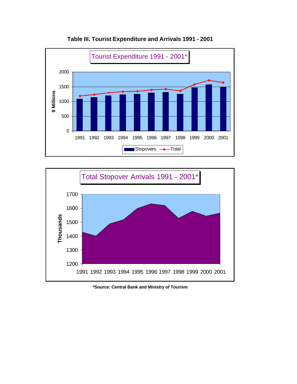

**Table III. Tourist Expenditure and Arrivals 1991 - 2001**



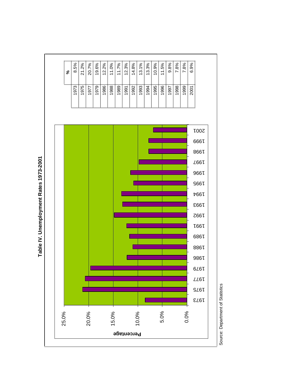

Source: Department of Statistics

Table IV. Unemployment Rates 1973-2001

**Table IV. Unemployment Rates 1973-2001**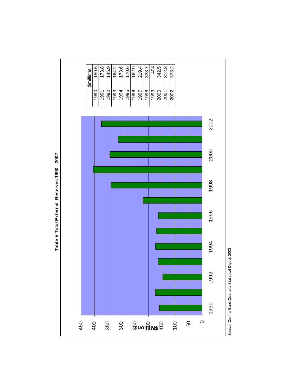

Table V Total External Reserves 1990 - 2002

Source: Central Bank Quarterly Statistical Digest, 2003 Source: Central Bank Quarterly Statistical Digest, 2003